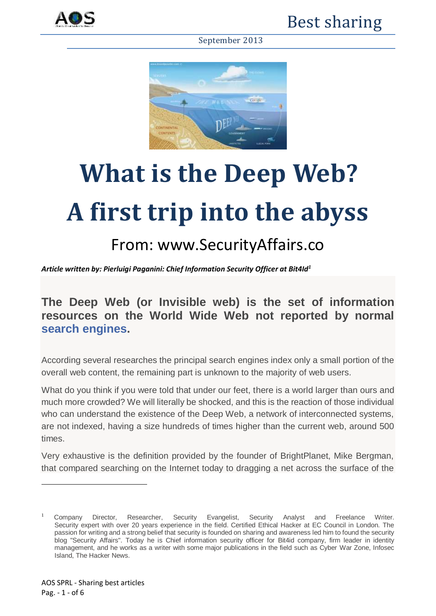



# **What is the Deep Web? A first trip into the abyss**

## From: www.SecurityAffairs.co

*Article written by: [Pierluigi Paganini: Chief Information Security Officer at Bit4Id](https://plus.google.com/114665933116427757135)<sup>1</sup>*

### **The Deep Web (or Invisible web) is the set of information resources on the World Wide Web not reported by normal [search engines.](http://securityaffairs.co/wordpress/1273/intelligence/the-strategic-importance-of-censorship-in-search-engines.html)**

According several researches the principal search engines index only a small portion of the overall web content, the remaining part is unknown to the majority of web users.

What do you think if you were told that under our feet, there is a world larger than ours and much more crowded? We will literally be shocked, and this is the reaction of those individual who can understand the existence of the Deep Web, a network of interconnected systems, are not indexed, having a size hundreds of times higher than the current web, around 500 times.

Very exhaustive is the definition provided by the founder of BrightPlanet, Mike Bergman, that compared searching on the Internet today to dragging a net across the surface of the

**.** 

<sup>1</sup> Company Director, Researcher, Security Evangelist, Security Analyst and Freelance Writer. Security expert with over 20 years experience in the field. Certified Ethical Hacker at EC Council in London. The passion for writing and a strong belief that security is founded on sharing and awareness led him to found the security blog "Security Affairs". Today he is Chief information security officer for Bit4id company, firm leader in identity management, and he works as a writer with some major publications in the field such as Cyber War Zone, Infosec Island, The Hacker News.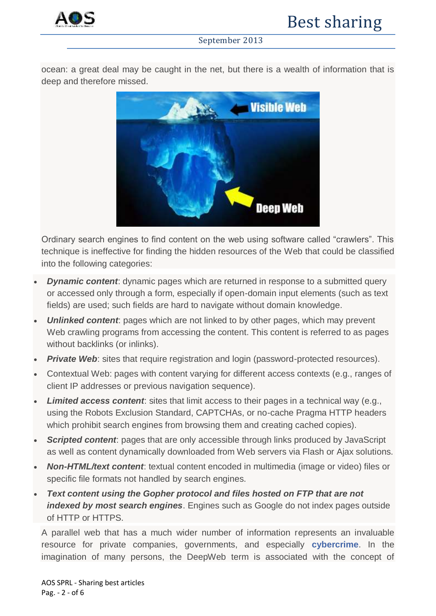

ocean: a great deal may be caught in the net, but there is a wealth of information that is deep and therefore missed.



Ordinary search engines to find content on the web using software called "crawlers". This technique is ineffective for finding the hidden resources of the Web that could be classified into the following categories:

- *Dynamic content:* dynamic pages which are returned in response to a submitted query or accessed only through a form, especially if open-domain input elements (such as text fields) are used; such fields are hard to navigate without domain knowledge.
- *Unlinked content*: pages which are not linked to by other pages, which may prevent Web crawling programs from accessing the content. This content is referred to as pages without backlinks (or inlinks).
- *Private Web:* sites that require registration and login (password-protected resources).
- Contextual Web: pages with content varying for different access contexts (e.g., ranges of client IP addresses or previous navigation sequence).
- *Limited access content*: sites that limit access to their pages in a technical way (e.g., using the Robots Exclusion Standard, CAPTCHAs, or no-cache Pragma HTTP headers which prohibit search engines from browsing them and creating cached copies).
- **Scripted content:** pages that are only accessible through links produced by JavaScript as well as content dynamically downloaded from Web servers via Flash or Ajax solutions.
- *Non-HTML/text content*: textual content encoded in multimedia (image or video) files or specific file formats not handled by search engines.
- *Text content using the Gopher protocol and files hosted on FTP that are not indexed by most search engines*. Engines such as Google do not index pages outside of HTTP or HTTPS.

A parallel web that has a much wider number of information represents an invaluable resource for private companies, governments, and especially **[cybercrime](http://securityaffairs.co/wordpress/4631/cyber-crime/analysis-of-cybercrime-and-its-impact-on-private-and-military-sectors.html)**. In the imagination of many persons, the DeepWeb term is associated with the concept of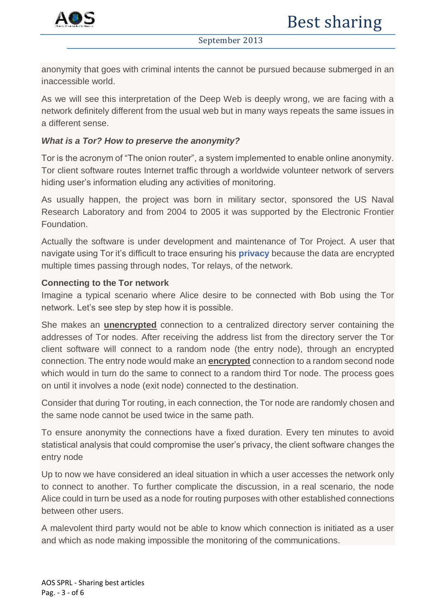

anonymity that goes with criminal intents the cannot be pursued because submerged in an inaccessible world.

As we will see this interpretation of the Deep Web is deeply wrong, we are facing with a network definitely different from the usual web but in many ways repeats the same issues in a different sense.

#### *What is a Tor? How to preserve the anonymity?*

Tor is the acronym of "The onion router", a system implemented to enable online anonymity. Tor client software routes Internet traffic through a worldwide volunteer network of servers hiding user's information eluding any activities of monitoring.

As usually happen, the project was born in military sector, sponsored the US Naval Research Laboratory and from 2004 to 2005 it was supported by the Electronic Frontier Foundation.

Actually the software is under development and maintenance of Tor Project. A user that navigate using Tor it's difficult to trace ensuring his **[privacy](http://securityaffairs.co/wordpress/469/digital-id/the-utopian-privacy.html)** because the data are encrypted multiple times passing through nodes, Tor relays, of the network.

#### **Connecting to the Tor network**

Imagine a typical scenario where Alice desire to be connected with Bob using the Tor network. Let's see step by step how it is possible.

She makes an **unencrypted** connection to a centralized directory server containing the addresses of Tor nodes. After receiving the address list from the directory server the Tor client software will connect to a random node (the entry node), through an encrypted connection. The entry node would make an **encrypted** connection to a random second node which would in turn do the same to connect to a random third Tor node. The process goes on until it involves a node (exit node) connected to the destination.

Consider that during Tor routing, in each connection, the Tor node are randomly chosen and the same node cannot be used twice in the same path.

To ensure anonymity the connections have a fixed duration. Every ten minutes to avoid statistical analysis that could compromise the user's privacy, the client software changes the entry node

Up to now we have considered an ideal situation in which a user accesses the network only to connect to another. To further complicate the discussion, in a real scenario, the node Alice could in turn be used as a node for routing purposes with other established connections between other users.

A malevolent third party would not be able to know which connection is initiated as a user and which as node making impossible the monitoring of the communications.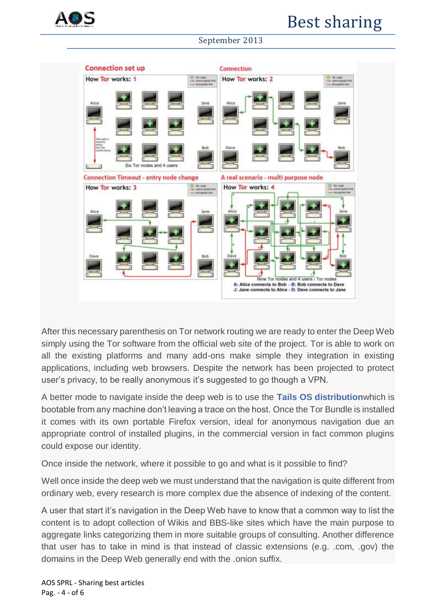



After this necessary parenthesis on Tor network routing we are ready to enter the Deep Web simply using the Tor software from the official web site of the project. Tor is able to work on all the existing platforms and many add-ons make simple they integration in existing applications, including web browsers. Despite the network has been projected to protect user's privacy, to be really anonymous it's suggested to go though a VPN.

A better mode to navigate inside the deep web is to use the **[Tails OS distribution](http://tails.boum.org/)**which is bootable from any machine don't leaving a trace on the host. Once the Tor Bundle is installed it comes with its own portable Firefox version, ideal for anonymous navigation due an appropriate control of installed plugins, in the commercial version in fact common plugins could expose our identity.

Once inside the network, where it possible to go and what is it possible to find?

Well once inside the deep web we must understand that the navigation is quite different from ordinary web, every research is more complex due the absence of indexing of the content.

A user that start it's navigation in the Deep Web have to know that a common way to list the content is to adopt collection of Wikis and BBS-like sites which have the main purpose to aggregate links categorizing them in more suitable groups of consulting. Another difference that user has to take in mind is that instead of classic extensions (e.g. .com, .gov) the domains in the Deep Web generally end with the .onion suffix.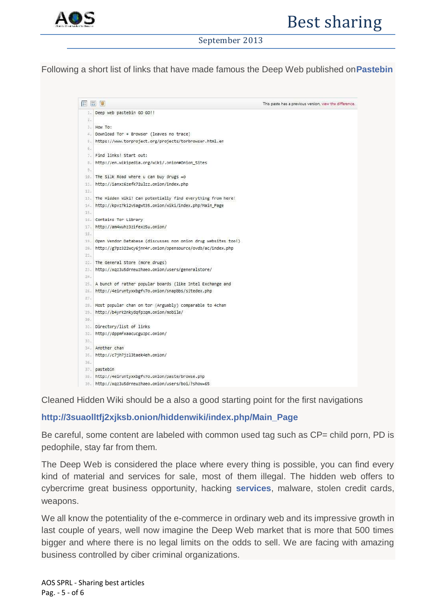

Following a short list of links that have made famous the Deep Web published on**[Pastebin](http://pastebin.com/ADTynHbX)**

```
信言圖
                                                                            This paste has a previous version, view the difference.
 1. Deep web pastebin GO GO!!
 抗
 Figure To:
 4. Download Tor + Browser (leaves no trace)
 5. https://www.torproject.org/projects/torbrowser.html.en
 \overline{6}7. Find links! Start out:
8. http://en.wikipedia.org/wiki/.onion#Onion Sites
 \mathbf{q}10. The Silk Road where u can buy drugs =0
11. http://ianxz6zefk72ulzz.onion/index.php
325
13. The Hidden Wiki! Can potentially find everything from here!
14. http://kpvz7ki2v5agwt35.onion/wiki/index.php/Main_Page
15.16. Contains Tor Library
17. http://am4wuhz3zifexz5u.onion/
1819. Open Vendor Database (discusses non onion drug websites too!)
20. http://g7pz322wcv6inn4r.onion/opensource/ovdb/ac/index.php
91.22. The General Store (more drugs)
23. http://xaz3u5drneuzhaeo.onion/users/generalstore/
our.
25. A bunch of rather popular boards (like Intel Exchange and
26. http://4eiruntvxxbgfv7o.onion/snapbbs/sitedex.php
27.28. Most popular chan on tor (Arguably) comparable to 4chan
29. http://b4yrk2nkydgfpzgm.onion/mobile/
50.31. Directory/list of links
32. http://dopmfxaacucguzpc.onion/
33.
34. Another chan
35. http://c7jh7jzl3taek4eh.onion/
SW.
37. pastebin
38. http://4eiruntyxxbgfv7o.onion/paste/browse.php
39. http://xqz3u5drneuzhaeo.onion/users/boi/?show=65
```
Cleaned Hidden Wiki should be a also a good starting point for the first navigations

#### **[http://3suaolltfj2xjksb.onion/hiddenwiki/index.php/Main\\_Page](http://3suaolltfj2xjksb.onion/hiddenwiki/index.php/Main_Page)**

Be careful, some content are labeled with common used tag such as CP= child porn, PD is pedophile, stay far from them.

The Deep Web is considered the place where every thing is possible, you can find every kind of material and services for sale, most of them illegal. The hidden web offers to cybercrime great business opportunity, hacking **[services](http://securityaffairs.co/wordpress/154/cyber-crime/on-demand-calling-service-for-cybercriminals-growing.html)**, malware, stolen credit cards, weapons.

We all know the potentiality of the e-commerce in ordinary web and its impressive growth in last couple of years, well now imagine the Deep Web market that is more that 500 times bigger and where there is no legal limits on the odds to sell. We are facing with amazing business controlled by ciber criminal organizations.